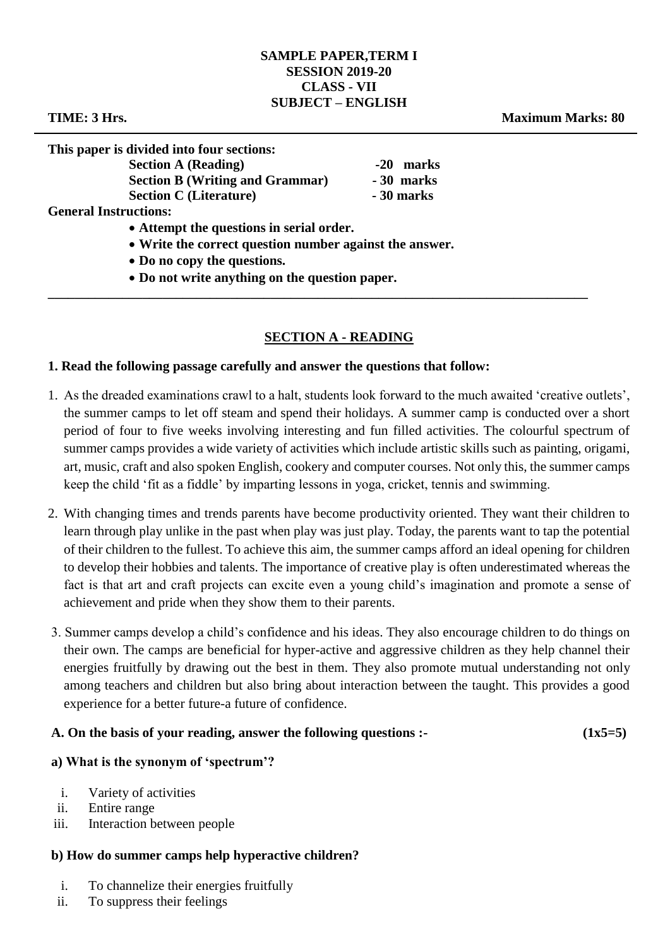#### **SAMPLE PAPER,TERM I SESSION 2019-20 CLASS - VII SUBJECT – ENGLISH**

**TIME: 3 Hrs. Maximum Marks: 80**

**This paper is divided into four sections:**

| . .<br><b>Section A (Reading)</b>      | -20 marks  |
|----------------------------------------|------------|
| <b>Section B (Writing and Grammar)</b> | -30 marks  |
| <b>Section C</b> (Literature)          | - 30 marks |
| <b>General Instructions:</b>           |            |

- **Attempt the questions in serial order.**
- **Write the correct question number against the answer.**
- **Do no copy the questions.**
- **Do not write anything on the question paper.**

## **SECTION A - READING**

**\_\_\_\_\_\_\_\_\_\_\_\_\_\_\_\_\_\_\_\_\_\_\_\_\_\_\_\_\_\_\_\_\_\_\_\_\_\_\_\_\_\_\_\_\_\_\_\_\_\_\_\_\_\_\_\_\_\_\_\_\_\_\_\_\_\_\_\_\_\_\_\_\_\_\_\_\_\_\_\_** 

#### **1. Read the following passage carefully and answer the questions that follow:**

- 1. As the dreaded examinations crawl to a halt, students look forward to the much awaited 'creative outlets', the summer camps to let off steam and spend their holidays. A summer camp is conducted over a short period of four to five weeks involving interesting and fun filled activities. The colourful spectrum of summer camps provides a wide variety of activities which include artistic skills such as painting, origami, art, music, craft and also spoken English, cookery and computer courses. Not only this, the summer camps keep the child 'fit as a fiddle' by imparting lessons in yoga, cricket, tennis and swimming.
- 2. With changing times and trends parents have become productivity oriented. They want their children to learn through play unlike in the past when play was just play. Today, the parents want to tap the potential of their children to the fullest. To achieve this aim, the summer camps afford an ideal opening for children to develop their hobbies and talents. The importance of creative play is often underestimated whereas the fact is that art and craft projects can excite even a young child's imagination and promote a sense of achievement and pride when they show them to their parents.
- 3. Summer camps develop a child's confidence and his ideas. They also encourage children to do things on their own. The camps are beneficial for hyper-active and aggressive children as they help channel their energies fruitfully by drawing out the best in them. They also promote mutual understanding not only among teachers and children but also bring about interaction between the taught. This provides a good experience for a better future-a future of confidence.

#### A. On the basis of your reading, answer the following questions :- (1x5=5)

## **a) What is the synonym of 'spectrum'?**

- i. Variety of activities
- ii. Entire range
- iii. Interaction between people

## **b) How do summer camps help hyperactive children?**

- i. To channelize their energies fruitfully
- ii. To suppress their feelings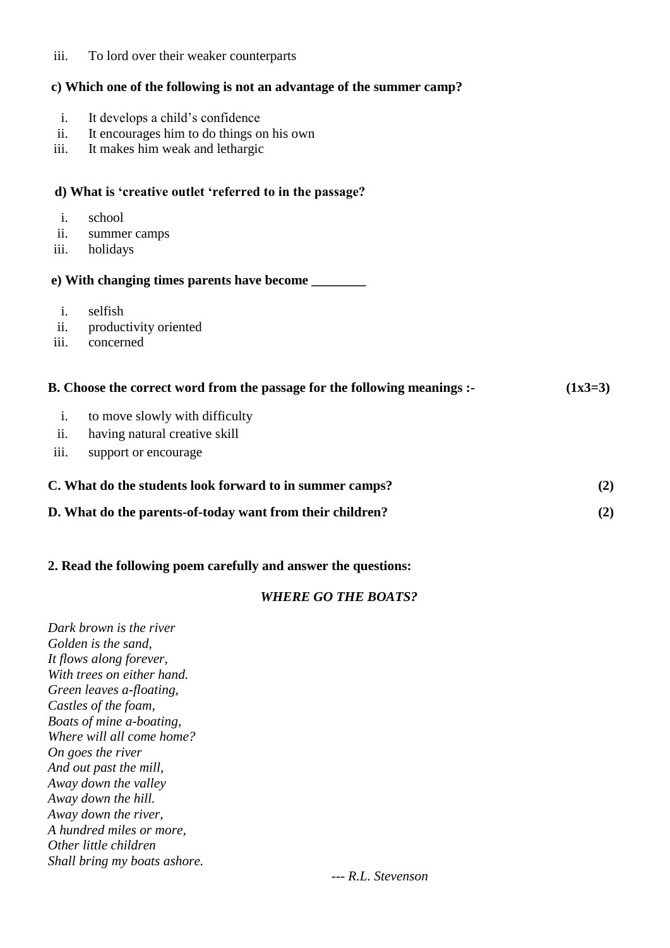## iii. To lord over their weaker counterparts

# **c) Which one of the following is not an advantage of the summer camp?**

| i.             | It develops a child's confidence                                          |           |
|----------------|---------------------------------------------------------------------------|-----------|
| ii.            | It encourages him to do things on his own                                 |           |
| iii.           | It makes him weak and lethargic                                           |           |
|                |                                                                           |           |
|                | d) What is 'creative outlet 'referred to in the passage?                  |           |
| i.             | school                                                                    |           |
| ii.            | summer camps                                                              |           |
| iii.           | holidays                                                                  |           |
|                |                                                                           |           |
| $\mathbf{i}$ . | selfish                                                                   |           |
| ii.            | productivity oriented                                                     |           |
| iii.           | concerned                                                                 |           |
|                | B. Choose the correct word from the passage for the following meanings :- | $(1x3=3)$ |
| i.             | to move slowly with difficulty                                            |           |
| ii.            | having natural creative skill                                             |           |
| iii.           | support or encourage                                                      |           |
|                |                                                                           |           |
|                | C. What do the students look forward to in summer camps?                  | (2)       |
|                | D. What do the parents-of-today want from their children?                 | (2)       |
|                |                                                                           |           |

# **2. Read the following poem carefully and answer the questions:**

## *WHERE GO THE BOATS?*

| Dark brown is the river      |  |  |
|------------------------------|--|--|
| Golden is the sand,          |  |  |
| It flows along forever,      |  |  |
| With trees on either hand.   |  |  |
| Green leaves a-floating,     |  |  |
| Castles of the foam,         |  |  |
| Boats of mine a-boating,     |  |  |
| Where will all come home?    |  |  |
| On goes the river            |  |  |
| And out past the mill,       |  |  |
| Away down the valley         |  |  |
| Away down the hill.          |  |  |
| Away down the river,         |  |  |
| A hundred miles or more,     |  |  |
| Other little children        |  |  |
| Shall bring my boats ashore. |  |  |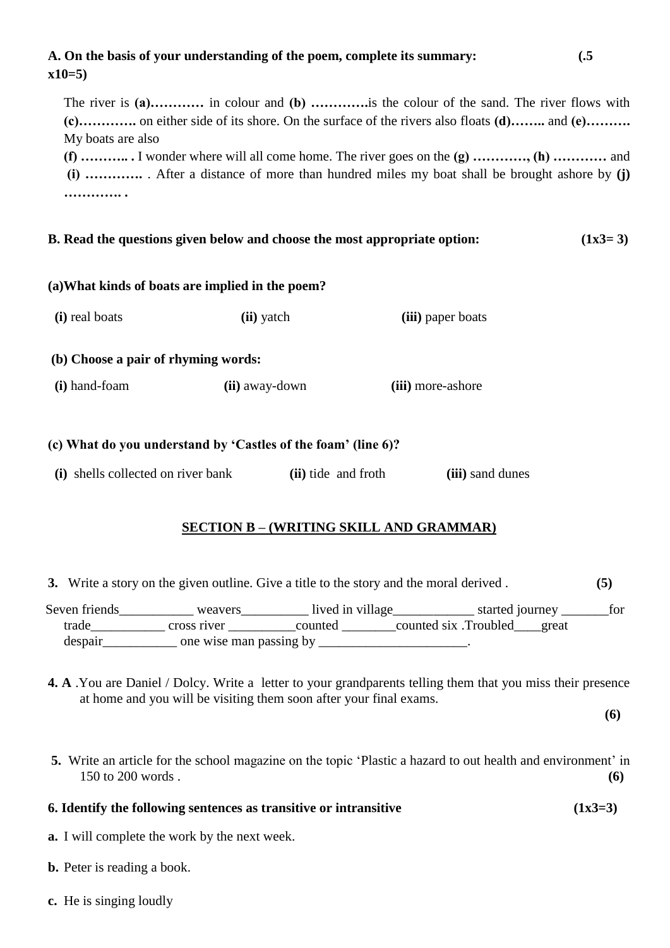# **A. On the basis of your understanding of the poem, complete its summary: (.5 x10=5)**

The river is **(a)…………** in colour and **(b) ………….**is the colour of the sand. The river flows with **(c)………….** on either side of its shore. On the surface of the rivers also floats **(d)……..** and **(e)……….** My boats are also

**(f) ……….. .** I wonder where will all come home. The river goes on the **(g) …………, (h) …………** and **(i) ………….** . After a distance of more than hundred miles my boat shall be brought ashore by **(j) …………. .** 

#### **B. Read the questions given below and choose the most appropriate option:** (1x3= 3)

#### **(a)What kinds of boats are implied in the poem?**

| (i) real boats                      | (ii) yatch     | (iii) paper boats |  |
|-------------------------------------|----------------|-------------------|--|
| (b) Choose a pair of rhyming words: |                |                   |  |
| (i) hand-foam                       | (ii) away-down | (iii) more-ashore |  |
|                                     |                |                   |  |

#### **(c) What do you understand by 'Castles of the foam' (line 6)?**

**(i)** shells collected on river bank **(ii)** tide and froth **(iii)** sand dunes

## **SECTION B – (WRITING SKILL AND GRAMMAR)**

**3.** Write a story on the given outline. Give a title to the story and the moral derived . **(5)**

Seven friends weavers lived in village started journey for trade\_\_\_\_\_\_\_\_\_\_\_ cross river \_\_\_\_\_\_\_\_\_\_counted \_\_\_\_\_\_\_\_counted six .Troubled\_\_\_\_great despair one wise man passing by  $\alpha$ 

**4. A** .You are Daniel / Dolcy. Write a letter to your grandparents telling them that you miss their presence at home and you will be visiting them soon after your final exams.

**(6)**

**5.** Write an article for the school magazine on the topic 'Plastic a hazard to out health and environment' in 150 to 200 words . **(6)**

## **6. Identify the following sentences as transitive or intransitive (1x3=3)**

**a.** I will complete the work by the next week.

- **b.** Peter is reading a book.
- **c.** He is singing loudly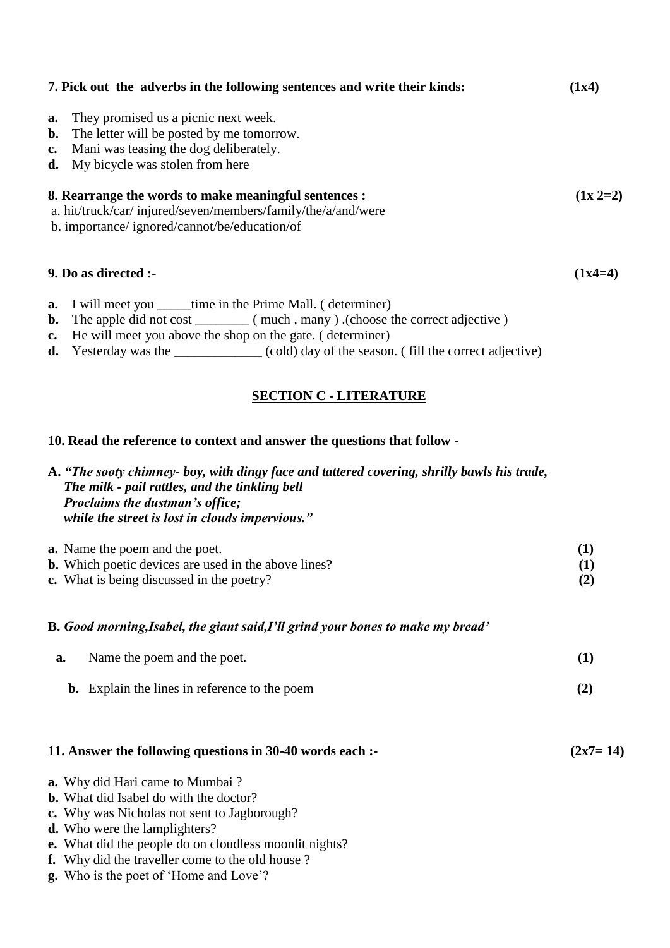|                | 7. Pick out the adverbs in the following sentences and write their kinds:                                                                                                                                                                  |                   |
|----------------|--------------------------------------------------------------------------------------------------------------------------------------------------------------------------------------------------------------------------------------------|-------------------|
| b.<br>c.<br>d. | <b>a.</b> They promised us a picnic next week.<br>The letter will be posted by me tomorrow.<br>Mani was teasing the dog deliberately.<br>My bicycle was stolen from here                                                                   |                   |
|                | 8. Rearrange the words to make meaningful sentences :<br>a. hit/truck/car/injured/seven/members/family/the/a/and/were<br>b. importance/ignored/cannot/be/education/of                                                                      | $(1x 2=2)$        |
|                | 9. Do as directed :-                                                                                                                                                                                                                       | $(1x4=4)$         |
|                | <b>a.</b> I will meet you ______time in the Prime Mall. (determiner)<br>c. He will meet you above the shop on the gate. (determiner)<br><b>d.</b> Yesterday was the _____________ (cold) day of the season. (fill the correct adjective)   |                   |
|                | <b>SECTION C - LITERATURE</b>                                                                                                                                                                                                              |                   |
|                | 10. Read the reference to context and answer the questions that follow -                                                                                                                                                                   |                   |
|                | A. "The sooty chimney- boy, with dingy face and tattered covering, shrilly bawls his trade,<br>The milk - pail rattles, and the tinkling bell<br><b>Proclaims the dustman's office;</b><br>while the street is lost in clouds impervious." |                   |
|                | <b>a.</b> Name the poem and the poet.<br><b>b.</b> Which poetic devices are used in the above lines?<br><b>c.</b> What is being discussed in the poetry?                                                                                   | (1)<br>(1)<br>(2) |

## **B.** *Good morning,Isabel, the giant said,I'll grind your bones to make my bread'*

| а. | Name the poem and the poet.                          |  |
|----|------------------------------------------------------|--|
|    | <b>b.</b> Explain the lines in reference to the poem |  |

# **11. Answer the following questions in 30-40 words each :-**  $(2x7=14)$

- **a.** Why did Hari came to Mumbai ?
- **b.** What did Isabel do with the doctor?
- **c.** Why was Nicholas not sent to Jagborough?
- **d.** Who were the lamplighters?
- **e.** What did the people do on cloudless moonlit nights?
- **f.** Why did the traveller come to the old house ?
- **g.** Who is the poet of 'Home and Love'?